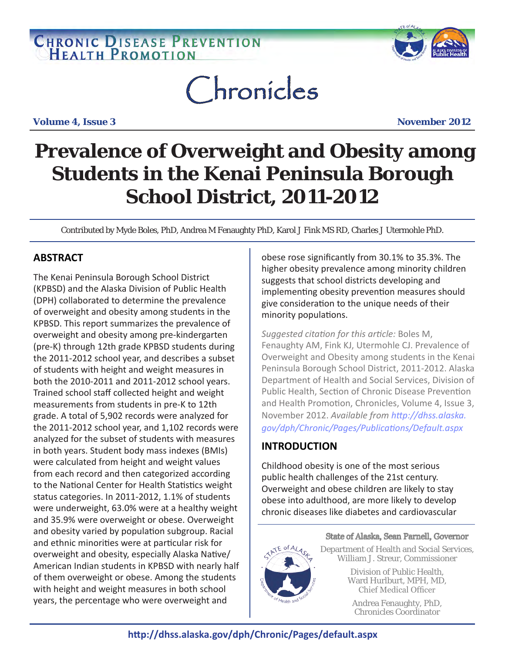## **CHRONIC DISEASE PREVENTION**



# Chronicles

**Volume 4, Issue 3 November 2012**

## **Prevalence of Overweight and Obesity among Students in the Kenai Peninsula Borough School District, 2011-2012**

Contributed by Myde Boles, PhD, Andrea M Fenaughty PhD, Karol J Fink MS RD, Charles J Utermohle PhD.

## **ABSTRACT**

The Kenai Peninsula Borough School District (KPBSD) and the Alaska Division of Public Health (DPH) collaborated to determine the prevalence of overweight and obesity among students in the KPBSD. This report summarizes the prevalence of overweight and obesity among pre-kindergarten (pre-K) through 12th grade KPBSD students during the 2011-2012 school year, and describes a subset of students with height and weight measures in both the 2010-2011 and 2011-2012 school years. Trained school staff collected height and weight measurements from students in pre-K to 12th grade. A total of 5,902 records were analyzed for the 2011-2012 school year, and 1,102 records were analyzed for the subset of students with measures in both years. Student body mass indexes (BMIs) were calculated from height and weight values from each record and then categorized according to the National Center for Health Statistics weight status categories. In 2011-2012, 1.1% of students were underweight, 63.0% were at a healthy weight and 35.9% were overweight or obese. Overweight and obesity varied by population subgroup. Racial and ethnic minorities were at particular risk for overweight and obesity, especially Alaska Native/ American Indian students in KPBSD with nearly half of them overweight or obese. Among the students with height and weight measures in both school years, the percentage who were overweight and

obese rose significantly from 30.1% to 35.3%. The higher obesity prevalence among minority children suggests that school districts developing and implementing obesity prevention measures should give consideration to the unique needs of their minority populations.

*Suggested citation for this article:* Boles M, Fenaughty AM, Fink KJ, Utermohle CJ. Prevalence of Overweight and Obesity among students in the Kenai Peninsula Borough School District, 2011-2012. Alaska Department of Health and Social Services, Division of Public Health, Section of Chronic Disease Prevention and Health Promotion, Chronicles, Volume 4, Issue 3, November 2012. *Available from [http://dhss.alaska.](http://dhss.alaska.gov/dph/Chronic/Pages/Publications/Default.aspx) [gov/dph/Chronic/Pages/Publications/Default.aspx](http://dhss.alaska.gov/dph/Chronic/Pages/Publications/Default.aspx)*

## **INTRODUCTION**

Childhood obesity is one of the most serious public health challenges of the 21st century. Overweight and obese children are likely to stay obese into adulthood, are more likely to develop chronic diseases like diabetes and cardiovascular



State of Alaska, Sean Parnell, Governor Department of Health and Social Services, William J. Streur, Commissioner Division of Public Health,

Ward Hurlburt, MPH, MD, Chief Medical Officer

Andrea Fenaughty, PhD, Chronicles Coordinator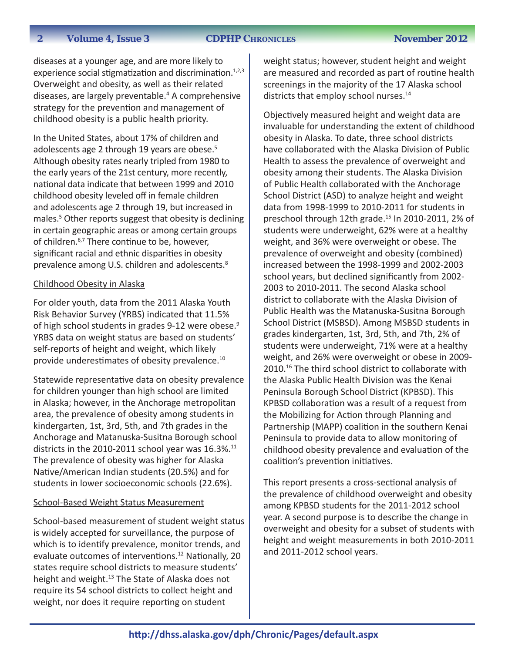#### **2012 The Volume 4, Issue 3 CDPHP CHRONICLES**

diseases at a younger age, and are more likely to experience social stigmatization and discrimination.<sup>1,2,3</sup> Overweight and obesity, as well as their related diseases, are largely preventable.<sup>4</sup> A comprehensive strategy for the prevention and management of childhood obesity is a public health priority.

In the United States, about 17% of children and adolescents age 2 through 19 years are obese.<sup>5</sup> Although obesity rates nearly tripled from 1980 to the early years of the 21st century, more recently, national data indicate that between 1999 and 2010 childhood obesity leveled off in female children and adolescents age 2 through 19, but increased in males.<sup>5</sup> Other reports suggest that obesity is declining in certain geographic areas or among certain groups of children.<sup>6,7</sup> There continue to be, however, significant racial and ethnic disparities in obesity prevalence among U.S. children and adolescents.<sup>8</sup>

#### Childhood Obesity in Alaska

For older youth, data from the 2011 Alaska Youth Risk Behavior Survey (YRBS) indicated that 11.5% of high school students in grades 9-12 were obese.<sup>9</sup> YRBS data on weight status are based on students' self-reports of height and weight, which likely provide underestimates of obesity prevalence.<sup>10</sup>

Statewide representative data on obesity prevalence for children younger than high school are limited in Alaska; however, in the Anchorage metropolitan area, the prevalence of obesity among students in kindergarten, 1st, 3rd, 5th, and 7th grades in the Anchorage and Matanuska-Susitna Borough school districts in the 2010-2011 school year was  $16.3\%$ .<sup>11</sup> The prevalence of obesity was higher for Alaska Native/American Indian students (20.5%) and for students in lower socioeconomic schools (22.6%).

#### School-Based Weight Status Measurement

School-based measurement of student weight status is widely accepted for surveillance, the purpose of which is to identify prevalence, monitor trends, and evaluate outcomes of interventions.<sup>12</sup> Nationally, 20 states require school districts to measure students' height and weight.<sup>13</sup> The State of Alaska does not require its 54 school districts to collect height and weight, nor does it require reporting on student

weight status; however, student height and weight are measured and recorded as part of routine health screenings in the majority of the 17 Alaska school districts that employ school nurses.<sup>14</sup>

Objectively measured height and weight data are invaluable for understanding the extent of childhood obesity in Alaska. To date, three school districts have collaborated with the Alaska Division of Public Health to assess the prevalence of overweight and obesity among their students. The Alaska Division of Public Health collaborated with the Anchorage School District (ASD) to analyze height and weight data from 1998-1999 to 2010-2011 for students in preschool through 12th grade.<sup>15</sup> In 2010-2011, 2% of students were underweight, 62% were at a healthy weight, and 36% were overweight or obese. The prevalence of overweight and obesity (combined) increased between the 1998-1999 and 2002-2003 school years, but declined significantly from 2002- 2003 to 2010-2011. The second Alaska school district to collaborate with the Alaska Division of Public Health was the Matanuska-Susitna Borough School District (MSBSD). Among MSBSD students in grades kindergarten, 1st, 3rd, 5th, and 7th, 2% of students were underweight, 71% were at a healthy weight, and 26% were overweight or obese in 2009- 2010.<sup>16</sup> The third school district to collaborate with the Alaska Public Health Division was the Kenai Peninsula Borough School District (KPBSD). This KPBSD collaboration was a result of a request from the Mobilizing for Action through Planning and Partnership (MAPP) coalition in the southern Kenai Peninsula to provide data to allow monitoring of childhood obesity prevalence and evaluation of the coalition's prevention initiatives.

This report presents a cross-sectional analysis of the prevalence of childhood overweight and obesity among KPBSD students for the 2011-2012 school year. A second purpose is to describe the change in overweight and obesity for a subset of students with height and weight measurements in both 2010-2011 and 2011-2012 school years.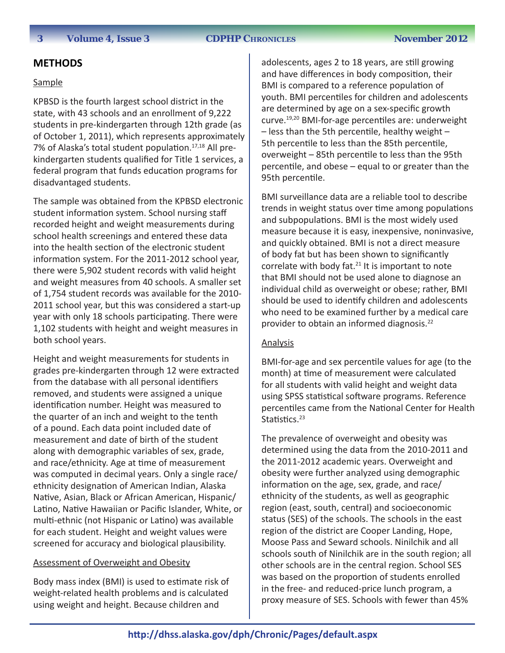#### **METHODS**

#### Sample

KPBSD is the fourth largest school district in the state, with 43 schools and an enrollment of 9,222 students in pre-kindergarten through 12th grade (as of October 1, 2011), which represents approximately 7% of Alaska's total student population.<sup>17,18</sup> All prekindergarten students qualified for Title 1 services, a federal program that funds education programs for disadvantaged students.

The sample was obtained from the KPBSD electronic student information system. School nursing staff recorded height and weight measurements during school health screenings and entered these data into the health section of the electronic student information system. For the 2011-2012 school year, there were 5,902 student records with valid height and weight measures from 40 schools. A smaller set of 1,754 student records was available for the 2010- 2011 school year, but this was considered a start-up year with only 18 schools participating. There were 1,102 students with height and weight measures in both school years.

Height and weight measurements for students in grades pre-kindergarten through 12 were extracted from the database with all personal identifiers removed, and students were assigned a unique identification number. Height was measured to the quarter of an inch and weight to the tenth of a pound. Each data point included date of measurement and date of birth of the student along with demographic variables of sex, grade, and race/ethnicity. Age at time of measurement was computed in decimal years. Only a single race/ ethnicity designation of American Indian, Alaska Native, Asian, Black or African American, Hispanic/ Latino, Native Hawaiian or Pacific Islander, White, or multi-ethnic (not Hispanic or Latino) was available for each student. Height and weight values were screened for accuracy and biological plausibility.

#### Assessment of Overweight and Obesity

Body mass index (BMI) is used to estimate risk of weight-related health problems and is calculated using weight and height. Because children and

adolescents, ages 2 to 18 years, are still growing and have differences in body composition, their BMI is compared to a reference population of youth. BMI percentiles for children and adolescents are determined by age on a sex-specific growth curve.19,20 BMI-for-age percentiles are: underweight – less than the 5th percentile, healthy weight – 5th percentile to less than the 85th percentile, overweight – 85th percentile to less than the 95th percentile, and obese – equal to or greater than the 95th percentile.

BMI surveillance data are a reliable tool to describe trends in weight status over time among populations and subpopulations. BMI is the most widely used measure because it is easy, inexpensive, noninvasive, and quickly obtained. BMI is not a direct measure of body fat but has been shown to significantly correlate with body fat. $21$  It is important to note that BMI should not be used alone to diagnose an individual child as overweight or obese; rather, BMI should be used to identify children and adolescents who need to be examined further by a medical care provider to obtain an informed diagnosis.22

#### Analysis

BMI-for-age and sex percentile values for age (to the month) at time of measurement were calculated for all students with valid height and weight data using SPSS statistical software programs. Reference percentiles came from the National Center for Health Statistics.<sup>23</sup>

The prevalence of overweight and obesity was determined using the data from the 2010-2011 and the 2011-2012 academic years. Overweight and obesity were further analyzed using demographic information on the age, sex, grade, and race/ ethnicity of the students, as well as geographic region (east, south, central) and socioeconomic status (SES) of the schools. The schools in the east region of the district are Cooper Landing, Hope, Moose Pass and Seward schools. Ninilchik and all schools south of Ninilchik are in the south region; all other schools are in the central region. School SES was based on the proportion of students enrolled in the free- and reduced-price lunch program, a proxy measure of SES. Schools with fewer than 45%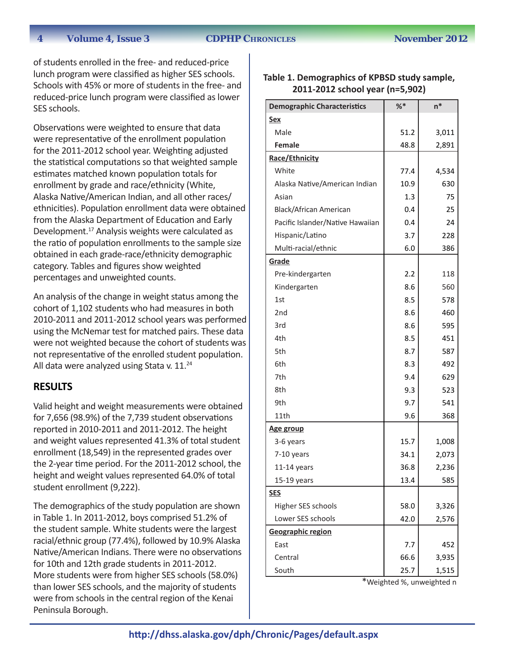of students enrolled in the free- and reduced-price lunch program were classified as higher SES schools. Schools with 45% or more of students in the free- and reduced-price lunch program were classified as lower SES schools.

Observations were weighted to ensure that data were representative of the enrollment population for the 2011-2012 school year. Weighting adjusted the statistical computations so that weighted sample estimates matched known population totals for enrollment by grade and race/ethnicity (White, Alaska Native/American Indian, and all other races/ ethnicities). Population enrollment data were obtained from the Alaska Department of Education and Early Development.17 Analysis weights were calculated as the ratio of population enrollments to the sample size obtained in each grade-race/ethnicity demographic category. Tables and figures show weighted percentages and unweighted counts.

An analysis of the change in weight status among the cohort of 1,102 students who had measures in both 2010-2011 and 2011-2012 school years was performed using the McNemar test for matched pairs. These data were not weighted because the cohort of students was not representative of the enrolled student population. All data were analyzed using Stata v. 11.<sup>24</sup>

#### **RESULTS**

Valid height and weight measurements were obtained for 7,656 (98.9%) of the 7,739 student observations reported in 2010-2011 and 2011-2012. The height and weight values represented 41.3% of total student enrollment (18,549) in the represented grades over the 2-year time period. For the 2011-2012 school, the height and weight values represented 64.0% of total student enrollment (9,222).

The demographics of the study population are shown in Table 1. In 2011-2012, boys comprised 51.2% of the student sample. White students were the largest racial/ethnic group (77.4%), followed by 10.9% Alaska Native/American Indians. There were no observations for 10th and 12th grade students in 2011-2012. More students were from higher SES schools (58.0%) than lower SES schools, and the majority of students were from schools in the central region of the Kenai Peninsula Borough.

#### **Table 1. Demographics of KPBSD study sample, 2011-2012 school year (n=5,902)**

| <b>Demographic Characteristics</b> | %    | $n^*$ |
|------------------------------------|------|-------|
| <b>Sex</b>                         |      |       |
| Male                               | 51.2 | 3,011 |
| Female                             | 48.8 | 2,891 |
| Race/Ethnicity                     |      |       |
| White                              | 77.4 | 4,534 |
| Alaska Native/American Indian      | 10.9 | 630   |
| Asian                              | 1.3  | 75    |
| <b>Black/African American</b>      | 0.4  | 25    |
| Pacific Islander/Native Hawaiian   | 0.4  | 24    |
| Hispanic/Latino                    | 3.7  | 228   |
| Multi-racial/ethnic                | 6.0  | 386   |
| Grade                              |      |       |
| Pre-kindergarten                   | 2.2  | 118   |
| Kindergarten                       | 8.6  | 560   |
| 1st                                | 8.5  | 578   |
| 2nd                                | 8.6  | 460   |
| 3rd                                | 8.6  | 595   |
| 4th                                | 8.5  | 451   |
| 5th                                | 8.7  | 587   |
| 6th                                | 8.3  | 492   |
| 7th                                | 9.4  | 629   |
| 8th                                | 9.3  | 523   |
| 9th                                | 9.7  | 541   |
| 11th                               | 9.6  | 368   |
| <u>Age group</u>                   |      |       |
| 3-6 years                          | 15.7 | 1,008 |
| 7-10 years                         | 34.1 | 2,073 |
| 11-14 years                        | 36.8 | 2,236 |
| 15-19 years                        | 13.4 | 585   |
| <b>SES</b>                         |      |       |
| Higher SES schools                 | 58.0 | 3,326 |
| Lower SES schools                  | 42.0 | 2,576 |
| Geographic region                  |      |       |
| East                               | 7.7  | 452   |
| Central                            | 66.6 | 3,935 |
| South                              | 25.7 | 1,515 |

\*Weighted %, unweighted n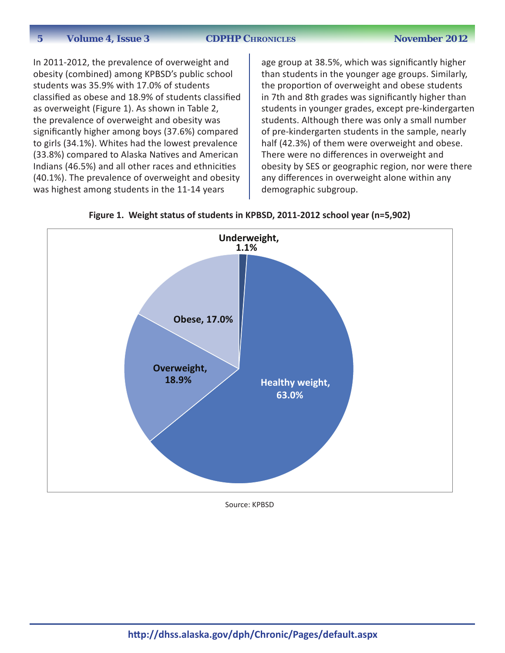In 2011-2012, the prevalence of overweight and obesity (combined) among KPBSD's public school students was 35.9% with 17.0% of students classified as obese and 18.9% of students classified as overweight (Figure 1). As shown in Table 2, the prevalence of overweight and obesity was significantly higher among boys (37.6%) compared to girls (34.1%). Whites had the lowest prevalence (33.8%) compared to Alaska Natives and American Indians (46.5%) and all other races and ethnicities (40.1%). The prevalence of overweight and obesity was highest among students in the 11-14 years

age group at 38.5%, which was significantly higher than students in the younger age groups. Similarly, the proportion of overweight and obese students in 7th and 8th grades was significantly higher than students in younger grades, except pre-kindergarten students. Although there was only a small number of pre-kindergarten students in the sample, nearly half (42.3%) of them were overweight and obese. There were no differences in overweight and obesity by SES or geographic region, nor were there any differences in overweight alone within any demographic subgroup.





Source: KPBSD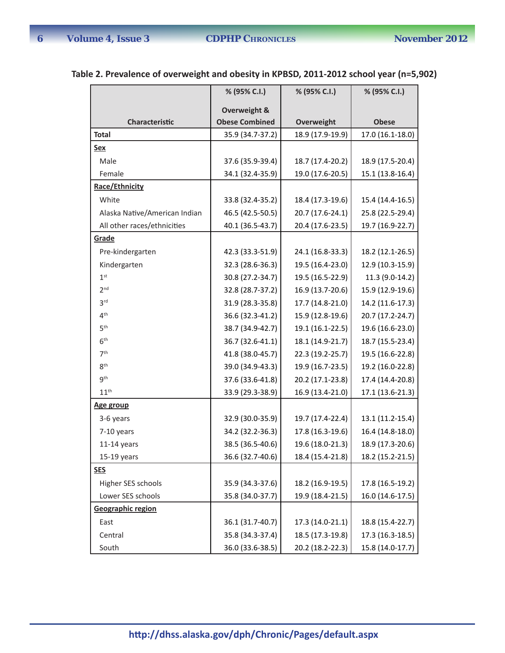$\overline{\phantom{a}}$ 

|                               | % (95% C.I.)            | % (95% C.I.)     | % (95% C.I.)     |
|-------------------------------|-------------------------|------------------|------------------|
|                               | <b>Overweight &amp;</b> |                  |                  |
| Characteristic                | <b>Obese Combined</b>   | Overweight       | <b>Obese</b>     |
| <b>Total</b>                  | 35.9 (34.7-37.2)        | 18.9 (17.9-19.9) | 17.0 (16.1-18.0) |
| Sex                           |                         |                  |                  |
| Male                          | 37.6 (35.9-39.4)        | 18.7 (17.4-20.2) | 18.9 (17.5-20.4) |
| Female                        | 34.1 (32.4-35.9)        | 19.0 (17.6-20.5) | 15.1 (13.8-16.4) |
| Race/Ethnicity                |                         |                  |                  |
| White                         | 33.8 (32.4-35.2)        | 18.4 (17.3-19.6) | 15.4 (14.4-16.5) |
| Alaska Native/American Indian | 46.5 (42.5-50.5)        | 20.7 (17.6-24.1) | 25.8 (22.5-29.4) |
| All other races/ethnicities   | 40.1 (36.5-43.7)        | 20.4 (17.6-23.5) | 19.7 (16.9-22.7) |
| Grade                         |                         |                  |                  |
| Pre-kindergarten              | 42.3 (33.3-51.9)        | 24.1 (16.8-33.3) | 18.2 (12.1-26.5) |
| Kindergarten                  | 32.3 (28.6-36.3)        | 19.5 (16.4-23.0) | 12.9 (10.3-15.9) |
| 1 <sup>st</sup>               | 30.8 (27.2-34.7)        | 19.5 (16.5-22.9) | 11.3 (9.0-14.2)  |
| 2 <sup>nd</sup>               | 32.8 (28.7-37.2)        | 16.9 (13.7-20.6) | 15.9 (12.9-19.6) |
| 3 <sup>rd</sup>               | 31.9 (28.3-35.8)        | 17.7 (14.8-21.0) | 14.2 (11.6-17.3) |
| 4 <sup>th</sup>               | 36.6 (32.3-41.2)        | 15.9 (12.8-19.6) | 20.7 (17.2-24.7) |
| 5 <sup>th</sup>               | 38.7 (34.9-42.7)        | 19.1 (16.1-22.5) | 19.6 (16.6-23.0) |
| 6 <sup>th</sup>               | 36.7 (32.6-41.1)        | 18.1 (14.9-21.7) | 18.7 (15.5-23.4) |
| 7 <sup>th</sup>               | 41.8 (38.0-45.7)        | 22.3 (19.2-25.7) | 19.5 (16.6-22.8) |
| 8 <sup>th</sup>               | 39.0 (34.9-43.3)        | 19.9 (16.7-23.5) | 19.2 (16.0-22.8) |
| <b>gth</b>                    | 37.6 (33.6-41.8)        | 20.2 (17.1-23.8) | 17.4 (14.4-20.8) |
| 11 <sup>th</sup>              | 33.9 (29.3-38.9)        | 16.9 (13.4-21.0) | 17.1 (13.6-21.3) |
| Age group                     |                         |                  |                  |
| 3-6 years                     | 32.9 (30.0-35.9)        | 19.7 (17.4-22.4) | 13.1 (11.2-15.4) |
| 7-10 years                    | 34.2 (32.2-36.3)        | 17.8 (16.3-19.6) | 16.4 (14.8-18.0) |
| $11-14$ years                 | 38.5 (36.5-40.6)        | 19.6 (18.0-21.3) | 18.9 (17.3-20.6) |
| 15-19 years                   | 36.6 (32.7-40.6)        | 18.4 (15.4-21.8) | 18.2 (15.2-21.5) |
| <b>SES</b>                    |                         |                  |                  |
| Higher SES schools            | 35.9 (34.3-37.6)        | 18.2 (16.9-19.5) | 17.8 (16.5-19.2) |
| Lower SES schools             | 35.8 (34.0-37.7)        | 19.9 (18.4-21.5) | 16.0 (14.6-17.5) |
| <b>Geographic region</b>      |                         |                  |                  |
| East                          | 36.1 (31.7-40.7)        | 17.3 (14.0-21.1) | 18.8 (15.4-22.7) |
| Central                       | 35.8 (34.3-37.4)        | 18.5 (17.3-19.8) | 17.3 (16.3-18.5) |
| South                         | 36.0 (33.6-38.5)        | 20.2 (18.2-22.3) | 15.8 (14.0-17.7) |

### **Table 2. Prevalence of overweight and obesity in KPBSD, 2011-2012 school year (n=5,902)**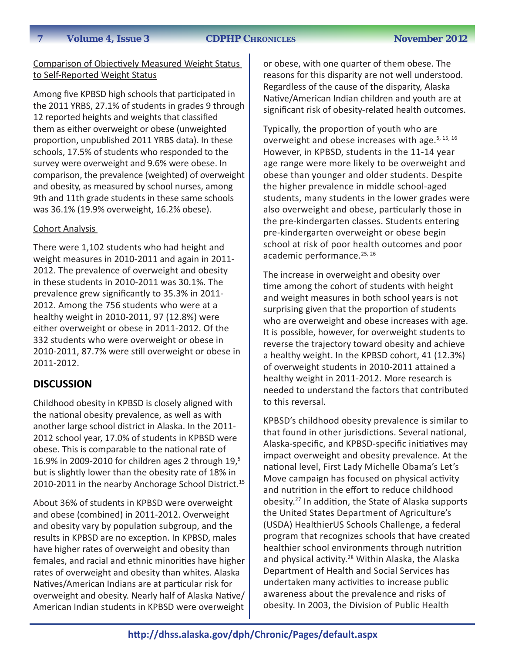#### Comparison of Objectively Measured Weight Status to Self-Reported Weight Status

Among five KPBSD high schools that participated in the 2011 YRBS, 27.1% of students in grades 9 through 12 reported heights and weights that classified them as either overweight or obese (unweighted proportion, unpublished 2011 YRBS data). In these schools, 17.5% of students who responded to the survey were overweight and 9.6% were obese. In comparison, the prevalence (weighted) of overweight and obesity, as measured by school nurses, among 9th and 11th grade students in these same schools was 36.1% (19.9% overweight, 16.2% obese).

#### Cohort Analysis

There were 1,102 students who had height and weight measures in 2010-2011 and again in 2011- 2012. The prevalence of overweight and obesity in these students in 2010-2011 was 30.1%. The prevalence grew significantly to 35.3% in 2011- 2012. Among the 756 students who were at a healthy weight in 2010-2011, 97 (12.8%) were either overweight or obese in 2011-2012. Of the 332 students who were overweight or obese in 2010-2011, 87.7% were still overweight or obese in 2011-2012.

### **DISCUSSION**

Childhood obesity in KPBSD is closely aligned with the national obesity prevalence, as well as with another large school district in Alaska. In the 2011- 2012 school year, 17.0% of students in KPBSD were obese. This is comparable to the national rate of 16.9% in 2009-2010 for children ages 2 through  $19,5$ but is slightly lower than the obesity rate of 18% in 2010-2011 in the nearby Anchorage School District.<sup>15</sup>

About 36% of students in KPBSD were overweight and obese (combined) in 2011-2012. Overweight and obesity vary by population subgroup, and the results in KPBSD are no exception. In KPBSD, males have higher rates of overweight and obesity than females, and racial and ethnic minorities have higher rates of overweight and obesity than whites. Alaska Natives/American Indians are at particular risk for overweight and obesity. Nearly half of Alaska Native/ American Indian students in KPBSD were overweight

or obese, with one quarter of them obese. The reasons for this disparity are not well understood. Regardless of the cause of the disparity, Alaska Native/American Indian children and youth are at significant risk of obesity-related health outcomes.

Typically, the proportion of youth who are overweight and obese increases with age.<sup>5, 15, 16</sup> However, in KPBSD, students in the 11-14 year age range were more likely to be overweight and obese than younger and older students. Despite the higher prevalence in middle school-aged students, many students in the lower grades were also overweight and obese, particularly those in the pre-kindergarten classes. Students entering pre-kindergarten overweight or obese begin school at risk of poor health outcomes and poor academic performance.<sup>25, 26</sup>

The increase in overweight and obesity over time among the cohort of students with height and weight measures in both school years is not surprising given that the proportion of students who are overweight and obese increases with age. It is possible, however, for overweight students to reverse the trajectory toward obesity and achieve a healthy weight. In the KPBSD cohort, 41 (12.3%) of overweight students in 2010-2011 attained a healthy weight in 2011-2012. More research is needed to understand the factors that contributed to this reversal.

KPBSD's childhood obesity prevalence is similar to that found in other jurisdictions. Several national, Alaska-specific, and KPBSD-specific initiatives may impact overweight and obesity prevalence. At the national level, First Lady Michelle Obama's Let's Move campaign has focused on physical activity and nutrition in the effort to reduce childhood obesity.27 In addition, the State of Alaska supports the United States Department of Agriculture's (USDA) HealthierUS Schools Challenge, a federal program that recognizes schools that have created healthier school environments through nutrition and physical activity.<sup>28</sup> Within Alaska, the Alaska Department of Health and Social Services has undertaken many activities to increase public awareness about the prevalence and risks of obesity. In 2003, the Division of Public Health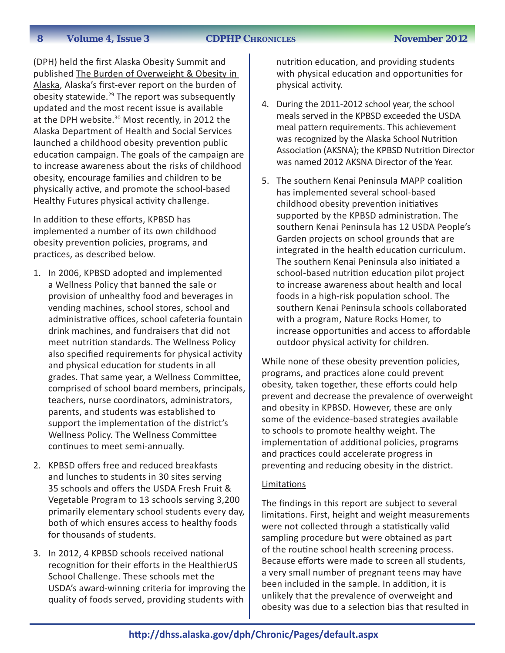(DPH) held the first Alaska Obesity Summit and published The Burden of Overweight & Obesity in Alaska, Alaska's first-ever report on the burden of obesity statewide. $29$  The report was subsequently updated and the most recent issue is available at the DPH website.<sup>30</sup> Most recently, in 2012 the Alaska Department of Health and Social Services launched a childhood obesity prevention public education campaign. The goals of the campaign are to increase awareness about the risks of childhood obesity, encourage families and children to be physically active, and promote the school-based Healthy Futures physical activity challenge.

In addition to these efforts, KPBSD has implemented a number of its own childhood obesity prevention policies, programs, and practices, as described below.

- 1. In 2006, KPBSD adopted and implemented a Wellness Policy that banned the sale or provision of unhealthy food and beverages in vending machines, school stores, school and administrative offices, school cafeteria fountain drink machines, and fundraisers that did not meet nutrition standards. The Wellness Policy also specified requirements for physical activity and physical education for students in all grades. That same year, a Wellness Committee, comprised of school board members, principals, teachers, nurse coordinators, administrators, parents, and students was established to support the implementation of the district's Wellness Policy. The Wellness Committee continues to meet semi-annually.
- 2. KPBSD offers free and reduced breakfasts and lunches to students in 30 sites serving 35 schools and offers the USDA Fresh Fruit & Vegetable Program to 13 schools serving 3,200 primarily elementary school students every day, both of which ensures access to healthy foods for thousands of students.
- 3. In 2012, 4 KPBSD schools received national recognition for their efforts in the HealthierUS School Challenge. These schools met the USDA's award-winning criteria for improving the quality of foods served, providing students with

nutrition education, and providing students with physical education and opportunities for physical activity.

- 4. During the 2011-2012 school year, the school meals served in the KPBSD exceeded the USDA meal pattern requirements. This achievement was recognized by the Alaska School Nutrition Association (AKSNA); the KPBSD Nutrition Director was named 2012 AKSNA Director of the Year.
- 5. The southern Kenai Peninsula MAPP coalition has implemented several school-based childhood obesity prevention initiatives supported by the KPBSD administration. The southern Kenai Peninsula has 12 USDA People's Garden projects on school grounds that are integrated in the health education curriculum. The southern Kenai Peninsula also initiated a school-based nutrition education pilot project to increase awareness about health and local foods in a high-risk population school. The southern Kenai Peninsula schools collaborated with a program, Nature Rocks Homer, to increase opportunities and access to affordable outdoor physical activity for children.

While none of these obesity prevention policies, programs, and practices alone could prevent obesity, taken together, these efforts could help prevent and decrease the prevalence of overweight and obesity in KPBSD. However, these are only some of the evidence-based strategies available to schools to promote healthy weight. The implementation of additional policies, programs and practices could accelerate progress in preventing and reducing obesity in the district.

#### **Limitations**

The findings in this report are subject to several limitations. First, height and weight measurements were not collected through a statistically valid sampling procedure but were obtained as part of the routine school health screening process. Because efforts were made to screen all students, a very small number of pregnant teens may have been included in the sample. In addition, it is unlikely that the prevalence of overweight and obesity was due to a selection bias that resulted in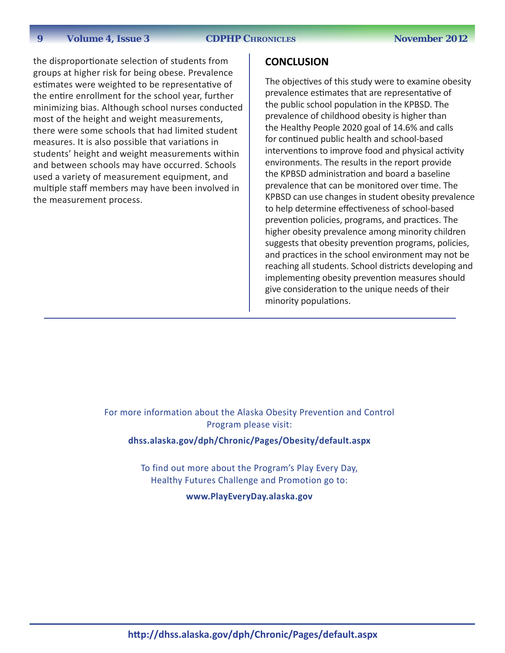the disproportionate selection of students from groups at higher risk for being obese. Prevalence estimates were weighted to be representative of the entire enrollment for the school year, further minimizing bias. Although school nurses conducted most of the height and weight measurements, there were some schools that had limited student measures. It is also possible that variations in students' height and weight measurements within and between schools may have occurred. Schools used a variety of measurement equipment, and multiple staff members may have been involved in the measurement process.

#### **CONCLUSION**

The objectives of this study were to examine obesity prevalence estimates that are representative of the public school population in the KPBSD. The prevalence of childhood obesity is higher than the Healthy People 2020 goal of 14.6% and calls for continued public health and school-based interventions to improve food and physical activity environments. The results in the report provide the KPBSD administration and board a baseline prevalence that can be monitored over time. The KPBSD can use changes in student obesity prevalence to help determine effectiveness of school-based prevention policies, programs, and practices. The higher obesity prevalence among minority children suggests that obesity prevention programs, policies, and practices in the school environment may not be reaching all students. School districts developing and implementing obesity prevention measures should give consideration to the unique needs of their minority populations.

For more information about the Alaska Obesity Prevention and Control Program please visit:

**<dhss.alaska.gov/dph/Chronic/Pages/Obesity/default.aspx>**

To find out more about the Program's Play Every Day, Healthy Futures Challenge and Promotion go to: **<www.PlayEveryDay.alaska.gov>**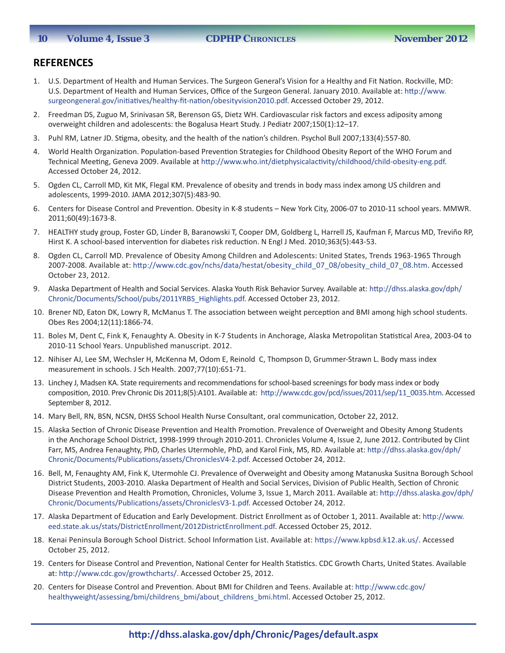#### **10 Volume 4, Issue 3 CDPHP CHRONICLES** November 2012

#### **REFERENCES**

- 1. U.S. Department of Health and Human Services. The Surgeon General's Vision for a Healthy and Fit Nation. Rockville, MD: U.S. Department of Health and Human Services, Office of the Surgeon General. January 2010. Available at: [http://www.](http://www.surgeongeneral.gov/initiatives/healthy-fit-nation/obesityvision2010.pdf) [surgeongeneral.gov/initiatives/healthy-fit-nation/obesityvision2010.pdf](http://www.surgeongeneral.gov/initiatives/healthy-fit-nation/obesityvision2010.pdf). Accessed October 29, 2012.
- 2. Freedman DS, Zuguo M, Srinivasan SR, Berenson GS, Dietz WH. Cardiovascular risk factors and excess adiposity among overweight children and adolescents: the Bogalusa Heart Study. J Pediatr 2007;150(1):12–17.
- 3. Puhl RM, Latner JD. Stigma, obesity, and the health of the nation's children. Psychol Bull 2007;133(4):557-80.
- 4. World Health Organization. Population-based Prevention Strategies for Childhood Obesity Report of the WHO Forum and Technical Meeting, Geneva 2009. Available at <http://www.who.int/dietphysicalactivity/childhood/child-obesity-eng.pdf>. Accessed October 24, 2012.
- 5. Ogden CL, Carroll MD, Kit MK, Flegal KM. Prevalence of obesity and trends in body mass index among US children and adolescents, 1999-2010. JAMA 2012;307(5):483-90.
- 6. Centers for Disease Control and Prevention. Obesity in K-8 students New York City, 2006-07 to 2010-11 school years. MMWR. 2011;60(49):1673-8.
- 7. HEALTHY study group, Foster GD, Linder B, Baranowski T, Cooper DM, Goldberg L, Harrell JS, Kaufman F, Marcus MD, Treviño RP, Hirst K. A school-based intervention for diabetes risk reduction. N Engl J Med. 2010;363(5):443-53.
- 8. Ogden CL, Carroll MD. Prevalence of Obesity Among Children and Adolescents: United States, Trends 1963-1965 Through 2007-2008. Available at: [http://www.cdc.gov/nchs/data/hestat/obesity\\_child\\_07\\_08/obesity\\_child\\_07\\_08.htm](http://www.cdc.gov/nchs/data/hestat/obesity_child_07_08/obesity_child_07_08.htm). Accessed October 23, 2012.
- 9. Alaska Department of Health and Social Services. Alaska Youth Risk Behavior Survey. Available at: [http://dhss.alaska.gov/dph/](http://dhss.alaska.gov/dph/Chronic/Documents/School/pubs/2011YRBS_Highlights.pdf) [Chronic/Documents/School/pubs/2011YRBS\\_Highlights.pdf](http://dhss.alaska.gov/dph/Chronic/Documents/School/pubs/2011YRBS_Highlights.pdf). Accessed October 23, 2012.
- 10. Brener ND, Eaton DK, Lowry R, McManus T. The association between weight perception and BMI among high school students. Obes Res 2004;12(11):1866-74.
- 11. Boles M, Dent C, Fink K, Fenaughty A. Obesity in K-7 Students in Anchorage, Alaska Metropolitan Statistical Area, 2003-04 to 2010-11 School Years. Unpublished manuscript. 2012.
- 12. Nihiser AJ, Lee SM, Wechsler H, McKenna M, Odom E, Reinold C, Thompson D, Grummer-Strawn L. Body mass index measurement in schools. J Sch Health. 2007;77(10):651-71.
- 13. Linchey J, Madsen KA. State requirements and recommendations for school-based screenings for body mass index or body composition, 2010. Prev Chronic Dis 2011;8(5):A101. Available at: [http://www.cdc.gov/pcd/issues/2011/sep/11\\_0035.htm](http://www.cdc.gov/pcd/issues/2011/sep/11_0035.htm). Accessed September 8, 2012.
- 14. Mary Bell, RN, BSN, NCSN, DHSS School Health Nurse Consultant, oral communication, October 22, 2012.
- 15. Alaska Section of Chronic Disease Prevention and Health Promotion. Prevalence of Overweight and Obesity Among Students in the Anchorage School District, 1998-1999 through 2010-2011. Chronicles Volume 4, Issue 2, June 2012. Contributed by Clint Farr, MS, Andrea Fenaughty, PhD, Charles Utermohle, PhD, and Karol Fink, MS, RD. Available at: [http://dhss.alaska.gov/dph/](http://dhss.alaska.gov/dph/Chronic/Documents/Publications/assets/ChroniclesV4-2.pdf) [Chronic/Documents/Publications/assets/ChroniclesV4-2.pdf](http://dhss.alaska.gov/dph/Chronic/Documents/Publications/assets/ChroniclesV4-2.pdf). Accessed October 24, 2012.
- 16. Bell, M, Fenaughty AM, Fink K, Utermohle CJ. Prevalence of Overweight and Obesity among Matanuska Susitna Borough School District Students, 2003-2010. Alaska Department of Health and Social Services, Division of Public Health, Section of Chronic Disease Prevention and Health Promotion, Chronicles, Volume 3, Issue 1, March 2011. Available at: [http://dhss.alaska.gov/dph/](http://dhss.alaska.gov/dph/Chronic/Documents/Publications/assets/ChroniclesV3-1.pdf) [Chronic/Documents/Publications/assets/ChroniclesV3-1.pdf](http://dhss.alaska.gov/dph/Chronic/Documents/Publications/assets/ChroniclesV3-1.pdf). Accessed October 24, 2012.
- 17. Alaska Department of Education and Early Development. District Enrollment as of October 1, 2011. Available at: [http://www.](http://www.eed.state.ak.us/stats/DistrictEnrollment/2012DistrictEnrollment.pdf) [eed.state.ak.us/stats/DistrictEnrollment/2012DistrictEnrollment.pdf](http://www.eed.state.ak.us/stats/DistrictEnrollment/2012DistrictEnrollment.pdf). Accessed October 25, 2012.
- 18. Kenai Peninsula Borough School District. School Information List. Available at: <https://www.kpbsd.k12.ak.us/>. Accessed October 25, 2012.
- 19. Centers for Disease Control and Prevention, National Center for Health Statistics. CDC Growth Charts, United States. Available at: [http://www.cdc.gov/growthcharts/.](http://www.cdc.gov/growthcharts/.%20) Accessed October 25, 2012.
- 20. Centers for Disease Control and Prevention. About BMI for Children and Teens. Available at: [http://www.cdc.gov/](http://www.cdc.gov/healthyweight/assessing/bmi/childrens_bmi/about_childrens_bmi.html) [healthyweight/assessing/bmi/childrens\\_bmi/about\\_childrens\\_bmi.html](http://www.cdc.gov/healthyweight/assessing/bmi/childrens_bmi/about_childrens_bmi.html). Accessed October 25, 2012.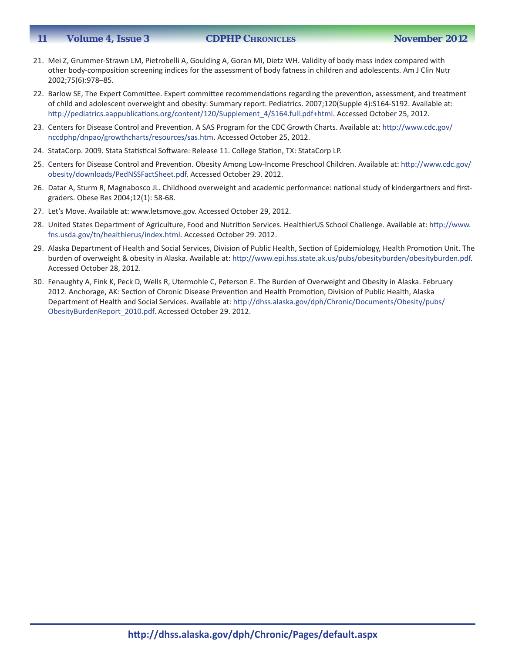#### **11 Volume 4, Issue 3 CDPHP CHRONICLES** November 2012

- 21. Mei Z, Grummer-Strawn LM, Pietrobelli A, Goulding A, Goran MI, Dietz WH. Validity of body mass index compared with other body-composition screening indices for the assessment of body fatness in children and adolescents. Am J Clin Nutr 2002;75(6):978–85.
- 22. Barlow SE, The Expert Committee. Expert committee recommendations regarding the prevention, assessment, and treatment of child and adolescent overweight and obesity: Summary report. Pediatrics. 2007;120(Supple 4):S164-S192. Available at: [http://pediatrics.aappublications.org/content/120/Supplement\\_4/S164.full.pdf+html](http://pediatrics.aappublications.org/content/120/Supplement_4/S164.full.pdf+html). Accessed October 25, 2012.
- 23. Centers for Disease Control and Prevention. A SAS Program for the CDC Growth Charts. Available at: [http://www.cdc.gov/](http://www.cdc.gov/nccdphp/dnpao/growthcharts/resources/sas.htm) [nccdphp/dnpao/growthcharts/resources/sas.htm](http://www.cdc.gov/nccdphp/dnpao/growthcharts/resources/sas.htm). Accessed October 25, 2012.
- 24. StataCorp. 2009. Stata Statistical Software: Release 11. College Station, TX: StataCorp LP.
- 25. Centers for Disease Control and Prevention. Obesity Among Low-Income Preschool Children. Available at: [http://www.cdc.gov/](http://www.cdc.gov/obesity/downloads/PedNSSFactSheet.pdf) [obesity/downloads/PedNSSFactSheet.pdf](http://www.cdc.gov/obesity/downloads/PedNSSFactSheet.pdf). Accessed October 29. 2012.
- 26. Datar A, Sturm R, Magnabosco JL. Childhood overweight and academic performance: national study of kindergartners and firstgraders. Obese Res 2004;12(1): 58-68.
- 27. Let's Move. Available at: [www.letsmove.gov.](www.letsmove.gov) Accessed October 29, 2012.
- 28. United States Department of Agriculture, Food and Nutrition Services. HealthierUS School Challenge. Available at: [http://www.](http://www.fns.usda.gov/tn/healthierus/index.html) [fns.usda.gov/tn/healthierus/index.html](http://www.fns.usda.gov/tn/healthierus/index.html). Accessed October 29. 2012.
- 29. Alaska Department of Health and Social Services, Division of Public Health, Section of Epidemiology, Health Promotion Unit. The burden of overweight & obesity in Alaska. Available at: <http://www.epi.hss.state.ak.us/pubs/obesityburden/obesityburden.pdf>. Accessed October 28, 2012.
- 30. Fenaughty A, Fink K, Peck D, Wells R, Utermohle C, Peterson E. The Burden of Overweight and Obesity in Alaska. February 2012. Anchorage, AK: Section of Chronic Disease Prevention and Health Promotion, Division of Public Health, Alaska Department of Health and Social Services. Available at: [http://dhss.alaska.gov/dph/Chronic/Documents/Obesity/pubs/](http://dhss.alaska.gov/dph/Chronic/Documents/Obesity/pubs/ObesityBurdenReport_2010.pdf) [ObesityBurdenReport\\_2010.pdf](http://dhss.alaska.gov/dph/Chronic/Documents/Obesity/pubs/ObesityBurdenReport_2010.pdf). Accessed October 29. 2012.